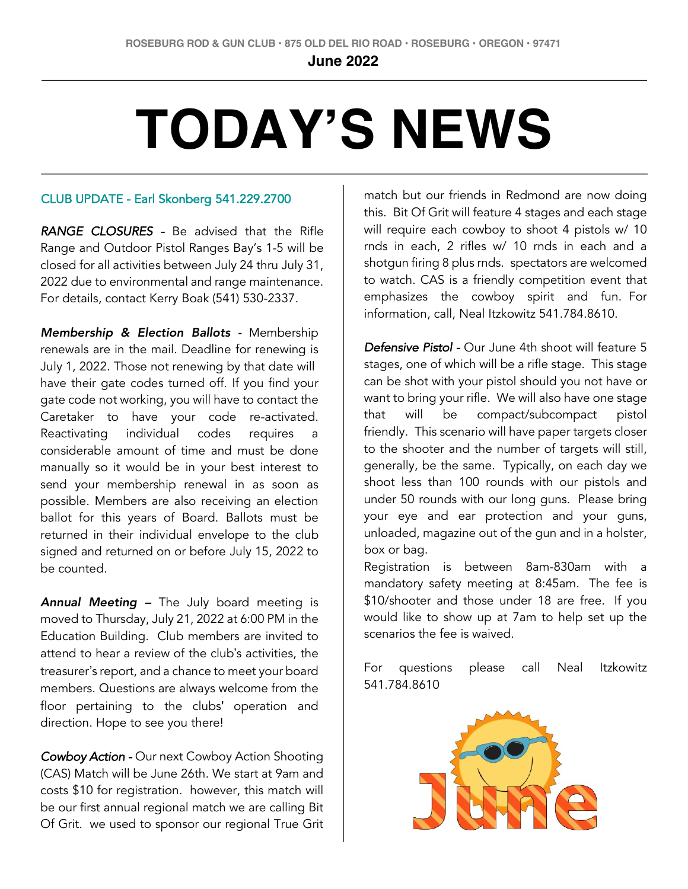**June 2022**

**2021**

## **TODAY'S NEWS**

## CLUB UPDATE - Earl Skonberg 541.229.2700

*RANGE CLOSURES -* Be advised that the Rifle Range and Outdoor Pistol Ranges Bay's 1-5 will be closed for all activities between July 24 thru July 31, 2022 due to environmental and range maintenance. For details, contact Kerry Boak (541) 530-2337.

*Membership & Election Ballots -* Membership renewals are in the mail. Deadline for renewing is July 1, 2022. Those not renewing by that date will have their gate codes turned off. If you find your gate code not working, you will have to contact the Caretaker to have your code re-activated. Reactivating individual codes requires a considerable amount of time and must be done manually so it would be in your best interest to send your membership renewal in as soon as possible. Members are also receiving an election ballot for this years of Board. Ballots must be returned in their individual envelope to the club signed and returned on or before July 15, 2022 to be counted.

*Annual Meeting –* The July board meeting is moved to Thursday, July 21, 2022 at 6:00 PM in the Education Building. Club members are invited to attend to hear a review of the club's activities, the treasurer's report, and a chance to meet your board members. Questions are always welcome from the floor pertaining to the clubs' operation and direction. Hope to see you there!

*Cowboy Action -* Our next Cowboy Action Shooting (CAS) Match will be June 26th. We start at 9am and costs \$10 for registration. however, this match will be our first annual regional match we are calling Bit Of Grit. we used to sponsor our regional True Grit

match but our friends in Redmond are now doing this. Bit Of Grit will feature 4 stages and each stage will require each cowboy to shoot 4 pistols w/ 10 rnds in each, 2 rifles w/ 10 rnds in each and a shotgun firing 8 plus rnds. spectators are welcomed to watch. CAS is a friendly competition event that emphasizes the cowboy spirit and fun. For information, call, Neal Itzkowitz 541.784.8610.

*Defensive Pistol -* Our June 4th shoot will feature 5 stages, one of which will be a rifle stage. This stage can be shot with your pistol should you not have or want to bring your rifle. We will also have one stage that will be compact/subcompact pistol friendly. This scenario will have paper targets closer to the shooter and the number of targets will still, generally, be the same. Typically, on each day we shoot less than 100 rounds with our pistols and under 50 rounds with our long guns. Please bring your eye and ear protection and your guns, unloaded, magazine out of the gun and in a holster, box or bag.

Registration is between 8am-830am with a mandatory safety meeting at 8:45am. The fee is \$10/shooter and those under 18 are free. If you would like to show up at 7am to help set up the scenarios the fee is waived.

For questions please call Neal Itzkowitz 541.784.8610